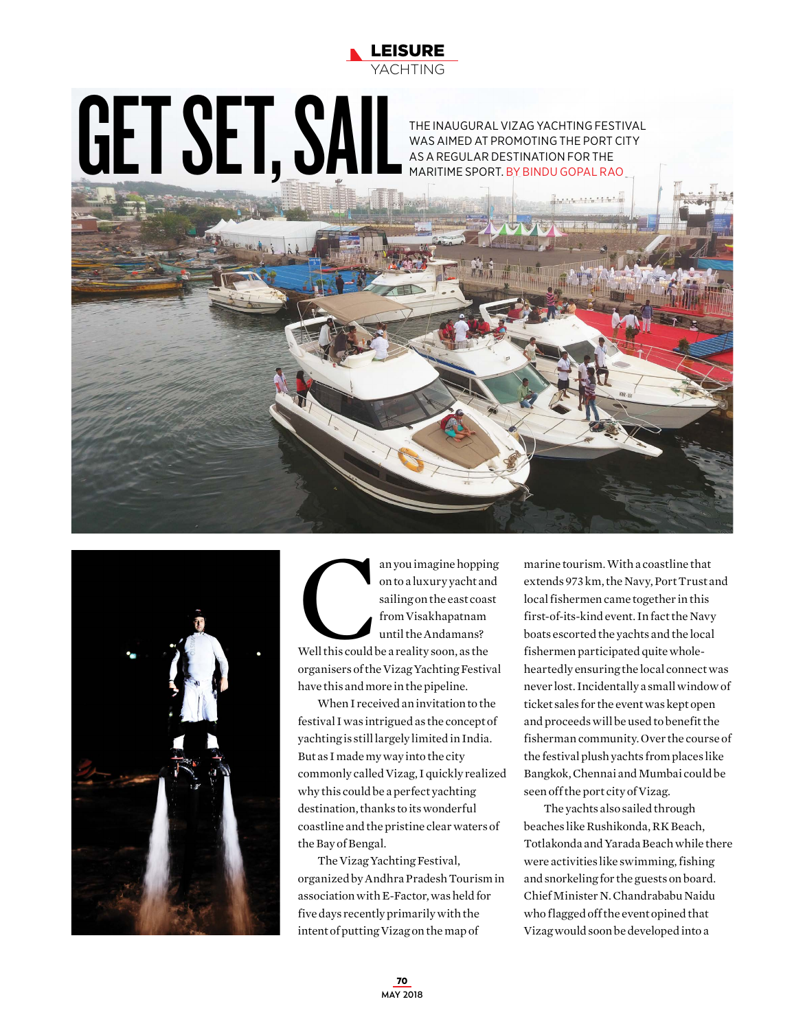

## THE INAUGURAL VIZAG YACHTING FESTIVAL<br>MAS AIMED AT PROMOTING THE PORT CITY<br>MARITIME SPORT. BY BINDU GOPAL RAO.

WAS AIMED AT PROMOTING THE PORT CITY AS A REGULAR DESTINATION FOR THE MARITIME SPORT. BY BINDU GOPAL RAO





an you imagine hopping<br>
on to a luxury yacht and<br>
sailing on the east coast<br>
from Visakhapatnam<br>
until the Andamans?<br>
Well this could be a reality soon, as the on to a luxury yacht and sailing on the east coast from Visakhapatnam until the Andamans? Well this could be a reality soon, as the organisers of the Vizag Yachting Festival have this and more in the pipeline.

When I received an invitation to the festival I was intrigued as the concept of yachting is still largely limited in India. But as I made my way into the city commonly called Vizag, I quickly realized why this could be a perfect yachting destination, thanks to its wonderful coastline and the pristine clear waters of the Bay of Bengal.

The Vizag Yachting Festival, organized by Andhra Pradesh Tourism in association with E-Factor, was held for five days recently primarily with the intent of putting Vizag on the map of

marine tourism. With a coastline that extends 973 km, the Navy, Port Trust and local fishermen came together in this first-of-its-kind event. In fact the Navy boats escorted the yachts and the local fishermen participated quite wholeheartedly ensuring the local connect was never lost. Incidentally a small window of ticket sales for the event was kept open and proceeds will be used to benefit the fisherman community. Over the course of the festival plush yachts from places like Bangkok, Chennai and Mumbai could be seen off the port city of Vizag.

The yachts also sailed through beaches like Rushikonda, RK Beach, Totlakonda and Yarada Beach while there were activities like swimming, fishing and snorkeling for the guests on board. Chief Minister N. Chandrababu Naidu who flagged off the event opined that Vizag would soon be developed into a